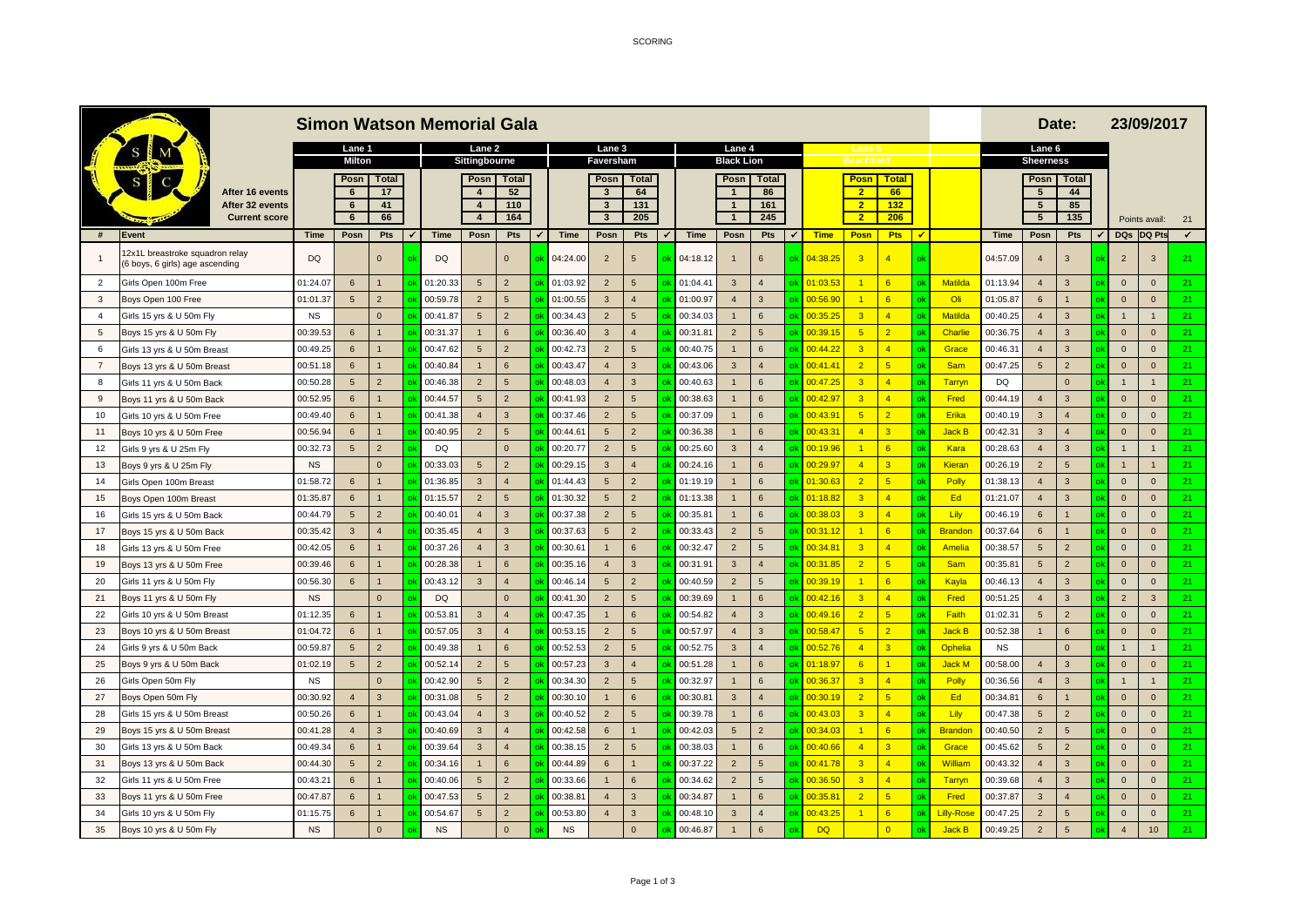SCORING

|                | <b>Simon Watson Memorial Gala</b>                                |             |                     |                |             |                         |                  |                |                   |                  |        |          |                        |                  |    |                     |                         | Date:                   | 23/09/2017 |                  |             |                  |                        |                |                |    |
|----------------|------------------------------------------------------------------|-------------|---------------------|----------------|-------------|-------------------------|------------------|----------------|-------------------|------------------|--------|----------|------------------------|------------------|----|---------------------|-------------------------|-------------------------|------------|------------------|-------------|------------------|------------------------|----------------|----------------|----|
|                |                                                                  |             | Lane 1              |                |             | Lane 2                  |                  | Lane 3         |                   |                  | Lane 4 |          |                        |                  |    |                     |                         |                         |            |                  | Lane 6      |                  |                        |                |                |    |
|                |                                                                  |             | <b>Milton</b>       |                |             | Sittingbourne           |                  |                | Faversham         |                  |        |          | <b>Black Lion</b>      |                  |    |                     | <b>Beachfield</b>       |                         |            |                  |             | <b>Sheerness</b> |                        |                |                |    |
|                |                                                                  |             | Posn                | <b>Total</b>   |             | Posn                    | Total            |                | Posn              | <b>Total</b>     |        |          | Posn<br>$\overline{1}$ | <b>Total</b>     |    |                     | Posn<br>2 <sup>2</sup>  | <b>Total</b>            |            |                  |             | Posn             | <b>Total</b>           |                |                |    |
|                | After 16 events<br>After 32 events                               |             | $6\phantom{1}$<br>6 | 17<br>41       |             | $\overline{4}$          | 52<br>110        |                | 3<br>$\mathbf{3}$ | 64<br>131        |        |          | $\mathbf{1}$           | 86<br>161        |    |                     | $\overline{2}$          | 66<br>132               |            |                  |             | 5<br>5           | 44<br>85               |                |                |    |
|                | <b>Current score</b>                                             |             | 6                   | 66             |             | $\overline{\mathbf{4}}$ | 164              |                | $\mathbf{3}$      | 205              |        |          | $\overline{1}$         | 245              |    |                     | $\overline{2}$          | 206                     |            |                  |             | $5\phantom{.0}$  | 135                    |                | Points avail:  | 21 |
| #              | Event                                                            | <b>Time</b> | Posn                | Pts            | <b>Time</b> | Posn                    | Pts              | Time           | Posn              | Pts              |        | Time     | Posn                   | Pts              |    | <b>Time</b>         | Posn                    | <b>Pts</b>              | ✔          |                  | <b>Time</b> | Posn             | Pts                    | <b>DQs</b>     | DQ Pts         | ✔  |
|                | 2x1L breastroke squadron relay<br>6 boys, 6 girls) age ascending | <b>DQ</b>   |                     | $\overline{0}$ | <b>DQ</b>   |                         | $\overline{0}$   | 04:24.00       | $\overline{2}$    | $5\overline{5}$  |        | 04:18.12 |                        | 6                |    | 04:38.2             |                         | $\overline{4}$          |            |                  | 04:57.09    | 4                | 3                      | $\overline{2}$ | $\mathbf{3}$   | 21 |
| 2              | Girls Open 100m Free                                             | 01:24.07    | $6\phantom{1}$      |                | 01:20.33    | $5\phantom{.0}$         | $\overline{2}$   | 01:03.92       | $\overline{2}$    | $5\overline{5}$  |        | 01:04.4  | $\overline{3}$         | $\overline{4}$   | эk | 01:03.53            | $\blacksquare$          | 6                       |            | Matilda          | 01:13.94    | $\overline{4}$   | $\overline{3}$         | $\mathbf{0}$   | $\mathbf 0$    | 21 |
| $\mathbf{3}$   | Boys Open 100 Free                                               | 01:01.37    | $5\overline{5}$     | $\overline{2}$ | 00:59.78    | $\overline{2}$          | $5\overline{)}$  | 01:00.55<br>ok | $\overline{3}$    | $\overline{4}$   |        | 01:00.97 | $\overline{4}$         | $\overline{3}$   | эk | 00:56.90            | $\vert$ 1               | 6                       |            | Oli              | 01:05.87    | 6                |                        | $\mathbf{0}$   | $\mathbf{0}$   | 21 |
| $\overline{4}$ | Girls 15 yrs & U 50m Fly                                         | <b>NS</b>   |                     | $\mathbf{0}$   | 00:41.87    | $5\phantom{.0}$         | $\overline{2}$   | 00:34.43       | $\overline{2}$    | $5\overline{5}$  |        | 00:34.03 | $\blacksquare$         | 6                | ٦k | 00:35.25            | $\overline{\mathbf{3}}$ | $\overline{4}$          |            | Matilda          | 00:40.25    | $\overline{4}$   | $\overline{3}$         | $\mathbf{1}$   | $\overline{1}$ | 21 |
| 5              | Boys 15 yrs & U 50m Fly                                          | 00:39.53    | 6                   |                | 00:31.37    | и                       | $6 \overline{6}$ | 00:36.40       | $\mathbf{3}$      | $\overline{4}$   |        | 00:31.8  | $\overline{2}$         | 5                | ٦k | 00:39.15            | 5                       | $\overline{2}$          |            | Charlie          | 00:36.75    | $\overline{4}$   | 3                      | $\mathbf{0}$   | $\mathbf{0}$   | 21 |
| 6              | Girls 13 yrs & U 50m Breast                                      | 00:49.25    | $6\overline{6}$     |                | 00:47.62    | 5                       | $\overline{2}$   | 00:42.73       | $\overline{2}$    | 5                |        | 00:40.75 | $\blacksquare$         | 6                | ٦k | 00:44.22            | $\overline{3}$          | $\overline{4}$          |            | Grace            | 00:46.3     | $\overline{4}$   | 3                      | $\overline{0}$ | $\mathbf{0}$   | 21 |
| $\overline{7}$ | Boys 13 yrs & U 50m Breast                                       | 00:51.18    | $6\overline{6}$     |                | 00:40.84    | $\blacksquare$          | $6 \overline{6}$ | 00:43.47       | $\overline{4}$    | $\overline{3}$   |        | 00:43.06 | $\mathbf{3}$           | $\overline{4}$   | ٦k | 00:41.4'            | $\overline{2}$          | 5                       |            | <b>Sam</b>       | 00:47.25    | $5\phantom{.0}$  | $\overline{2}$         | $\mathbf{0}$   | $\mathbf{0}$   | 21 |
| 8              | Girls 11 yrs & U 50m Back                                        | 00:50.28    | 5                   | $\overline{2}$ | 00:46.38    | $\overline{2}$          | 5                | 00:48.03       | $\overline{4}$    | $\mathbf{3}$     |        | 00:40.63 | $\blacksquare$         | $6\phantom{.}6$  | ٦k | 00:47.25            | $\overline{3}$          | $\overline{4}$          |            | Tarryn           | DQ          |                  | $\Omega$               | $\mathbf{1}$   | $\overline{1}$ | 21 |
| 9              | Boys 11 yrs & U 50m Back                                         | 00:52.95    | $6\overline{6}$     |                | 00:44.57    | 5                       | $\overline{2}$   | 00:41.93       | $\overline{2}$    | 5                |        | 00:38.63 | $\overline{1}$         | $6\overline{6}$  | ٦k | 00:42.97            | $\overline{3}$          | $\overline{4}$          |            | Fred             | 00:44.19    | $\overline{4}$   | 3                      | $\mathbf{0}$   | $\mathbf{0}$   | 21 |
| 10             | Girls 10 yrs & U 50m Free                                        | 00:49.40    | $6\overline{6}$     |                | 00:41.38    | $\overline{4}$          | 3                | 00:37.46       | $\overline{2}$    | $5\overline{5}$  |        | 00:37.09 | $\blacksquare$         | 6                | ٦k | 00:43.9             | 5                       | $\overline{2}$          |            | Erika            | 00:40.19    | $\overline{3}$   | $\overline{4}$         | $\mathbf{0}$   | $\mathbf{0}$   | 21 |
| 11             | Boys 10 yrs & U 50m Free                                         | 00:56.94    | $6\overline{6}$     |                | 00:40.95    | $\overline{2}$          | $5\overline{5}$  | 00:44.61       | 5                 | $\overline{2}$   |        | 00:36.38 | $\overline{1}$         | $6\overline{6}$  | эk | 00:43.3'            | $\overline{4}$          | $\overline{\mathbf{3}}$ |            | <b>Jack B</b>    | 00:42.31    | $\mathbf{3}$     | $\overline{4}$         | $\mathbf{0}$   | $\mathbf{0}$   | 21 |
| 12             | Girls 9 yrs & U 25m Fly                                          | 00:32.73    | $5\phantom{.0}$     | $\overline{2}$ | DQ          |                         | $\Omega$         | 00:20.77       | $\overline{2}$    | $5\overline{5}$  |        | 00:25.60 | $\mathbf{3}$           | $\overline{4}$   | ٦k | 00:19.96            | $\overline{1}$          | 6                       |            | Kara             | 00:28.63    | $\overline{4}$   | 3                      | $\overline{1}$ | $\overline{1}$ | 21 |
| 13             | Boys 9 yrs & U 25m Fly                                           | <b>NS</b>   |                     | $\Omega$       | 00:33.0     | 5                       | $\overline{2}$   | 00:29.15       | $\mathbf{3}$      | $\overline{4}$   |        | 00:24.16 | $\overline{1}$         | $6 \overline{6}$ | ٦ŀ | 00:29.97            | $\overline{4}$          | $\overline{3}$          |            | Kieran           | 00:26.19    | $\overline{2}$   | $5\overline{5}$        | $\overline{1}$ | $\overline{1}$ | 21 |
| 14             | <b>Girls Open 100m Breast</b>                                    | 01:58.72    | $6\phantom{a}$      |                | 01:36.85    | $\mathbf{3}$            | $\overline{4}$   | 01:44.43       | $5\overline{5}$   | $\overline{2}$   |        | 01:19.19 | $\overline{1}$         | $6\phantom{.}6$  |    | 01:30.63            | $\overline{2}$          | 5                       |            | Polly            | 01:38.13    | $\overline{4}$   | 3                      | $\mathbf 0$    | $\mathbf 0$    | 21 |
| 15             | Boys Open 100m Breast                                            | 01:35.87    | $6\overline{6}$     |                | 01:15.57    | $\overline{2}$          | 5                | 01:30.32       | 5                 | $\overline{2}$   |        | 01:13.38 | $\overline{1}$         | $6\overline{6}$  | ٦k | 01:18.82            | $\overline{3}$          | $\overline{4}$          |            | Ed               | 01:21.07    | $\overline{4}$   | $\overline{3}$         | $\mathbf{0}$   | $\mathbf{0}$   | 21 |
| 16             | Girls 15 yrs & U 50m Back                                        | 00:44.79    | $5\phantom{.0}$     | $\overline{2}$ | 00:40.01    | $\overline{4}$          | 3                | 00:37.38       | $\overline{2}$    | 5                |        | 00:35.8' | $\overline{1}$         | $6\phantom{.}6$  | ٦k | 00:38.03            | $\overline{3}$          | $\overline{4}$          |            | Lily             | 00:46.19    | 6                |                        | $\mathbf{0}$   | $\mathbf 0$    | 21 |
| 17             | Boys 15 yrs & U 50m Back                                         | 00:35.42    | $\mathbf{3}$        | $\overline{A}$ | 00:35.45    | $\overline{4}$          | 3                | 00:37.63       | 5                 | $\overline{2}$   |        | 00:33.43 | $\overline{2}$         | 5                | ٦ŀ | 00:31.12            | $\overline{1}$          | 6                       |            | <b>Brandor</b>   | 00:37.64    | 6                | $\mathbf{1}$           | $\mathbf{0}$   | $\mathbf{0}$   | 21 |
| 18             | Girls 13 yrs & U 50m Free                                        | 00:42.05    | $6\phantom{.}6$     |                | 00:37.26    | $\overline{4}$          | $\overline{3}$   | 00:30.61       |                   | 6                |        | 00:32.47 | $\overline{2}$         | 5                | ٦ŀ | 0.34.8 <sup>2</sup> | $\overline{3}$          | $\overline{4}$          |            | Amelia           | 00:38.5     | 5                | $\overline{2}$         | $\mathbf 0$    | $\mathbf 0$    | 21 |
| 19             | Boys 13 yrs & U 50m Free                                         | 00:39.46    | $6\overline{6}$     |                | 00:28.38    | $\blacksquare$ 1        | 6                | 00:35.16       | $\overline{4}$    | $\mathbf{3}$     |        | 00:31.91 | $\overline{3}$         | $\overline{4}$   | ٦k | 00:31.85            | $\overline{2}$          | 5                       |            | <b>Sam</b>       | 00:35.8     | 5                | $\overline{2}$         | $\mathbf{0}$   | $\mathbf{0}$   | 21 |
| 20             | Girls 11 yrs & U 50m Fly                                         | 00:56.30    | $6\phantom{.}6$     |                | 00:43.1     | $\mathbf{3}$            | $\overline{4}$   | 00:46.14       | $5\phantom{.0}$   | $\overline{2}$   |        | 00:40.59 | $\overline{2}$         | $5\phantom{.0}$  | ٦k | 00:39.19            | $\vert$ 1               | 6                       |            | Kayla            | 00:46.13    | $\overline{4}$   | $\overline{3}$         | $\mathbf 0$    | $\mathbf{0}$   | 21 |
| 21             | Boys 11 yrs & U 50m Fly                                          | <b>NS</b>   |                     | $\Omega$       | <b>DQ</b>   |                         | $\overline{0}$   | 00:41.30       | $\overline{2}$    | 5                |        | 00:39.69 | $\overline{1}$         | $6 \overline{6}$ | ٦ŀ | 0:42.16             | $\overline{\mathbf{3}}$ | $\overline{4}$          |            | Fred             | 00:51.25    | $\overline{4}$   | 3                      | $\overline{2}$ | $\mathbf{3}$   | 21 |
| 22             | Girls 10 yrs & U 50m Breast                                      | 01:12.35    | $6\phantom{a}$      |                | 00:53.8     | $\mathbf{3}$            | $\overline{4}$   | 00:47.35       |                   | $6 \overline{6}$ |        | 00:54.82 | $\overline{4}$         | 3                | ٦ŀ | 00:49.16            | $\overline{2}$          | 5                       |            | Faith            | 01:02.3     | 5                | $\overline{2}$         | $\mathbf 0$    | $\mathbf{0}$   | 21 |
| 23             | Boys 10 yrs & U 50m Breast                                       | 01:04.72    | $6\phantom{.}6$     |                | 00:57.0     | $\mathbf{3}$            | $\overline{4}$   | 00:53.15       | $\overline{2}$    | 5                |        | 00:57.97 | $\overline{4}$         | $\overline{3}$   | ٦k | 00:58.47            | $5\overline{)}$         | $\overline{2}$          |            | <b>Jack B</b>    | 00:52.38    |                  | 6                      | $\mathbf{0}$   | $\mathbf{0}$   | 21 |
| 24             | Girls 9 yrs & U 50m Back                                         | 00:59.87    | $5\phantom{.0}$     | $\overline{2}$ | 00:49.38    | $\blacksquare$          | $6\overline{6}$  | 00:52.53       | $\overline{2}$    | 5                |        | 00:52.75 | $\mathbf{3}$           | $\overline{4}$   | ٦k | 00:52.76            | $\overline{4}$          | $\overline{3}$          |            | Ophelia          | <b>NS</b>   |                  | $\Omega$               | $\mathbf{1}$   | $\overline{1}$ | 21 |
| 25             | Boys 9 yrs & U 50m Back                                          | 01:02.19    | 5                   | $\overline{2}$ | 00:52.1     | $\overline{2}$          | $5\overline{5}$  | 00:57.23       | $\mathbf{3}$      | $\overline{4}$   |        | 00:51.28 | $\overline{1}$         | $6 \overline{6}$ | ٦k | 01:18.97            | 6                       | $\blacksquare$          |            | <b>Jack M</b>    | 00:58.00    | $\overline{4}$   | 3                      | $\mathbf{0}$   | $\mathbf{0}$   | 21 |
| 26             | <b>Girls Open 50m Fly</b>                                        | <b>NS</b>   |                     | $\overline{0}$ | 00:42.90    | 5                       | $\overline{2}$   | 00:34.30       | $\overline{2}$    | $5\overline{5}$  |        | 00:32.97 | $\overline{1}$         | $6\phantom{1}$   | ٦k | 00:36.37            | $\overline{3}$          | $\overline{4}$          |            | Polly            | 00:36.56    | $\overline{4}$   | $\overline{3}$         | $\mathbf{1}$   | $\mathbf{1}$   | 21 |
| 27             | Boys Open 50m Fly                                                | 00:30.92    | $\overline{4}$      | 3              | 00:31.08    | 5                       | $\overline{2}$   | 00:30.10       | $\blacksquare$    | 6                |        | 00:30.8  | $\mathbf{3}$           | $\overline{4}$   | ٦k | 00:30.19            | $\overline{2}$          | 5                       |            | Ed               | 00:34.81    | 6                | $\overline{1}$         | $\mathbf{0}$   | $\mathbf{0}$   | 21 |
| 28             | Girls 15 yrs & U 50m Breast                                      | 00:50.26    | $6\phantom{.}6$     |                | 00:43.04    | $\overline{4}$          | 3                | 00:40.52       | $\overline{2}$    | $5\overline{5}$  |        | 00:39.78 | $\overline{1}$         | 6                | ٦k | 00:43.03            | $\overline{3}$          | $\overline{4}$          |            | Lily             | 00:47.38    | 5                | $\overline{2}$         | $\mathbf 0$    | $\mathbf 0$    | 21 |
| 29             | Boys 15 yrs & U 50m Breast                                       | 00:41.28    | $\overline{4}$      | 3              | 00:40.69    | $\overline{3}$          | $\overline{4}$   | 00:42.58       | 6                 |                  |        | 00:42.03 | 5                      | $\overline{2}$   | ٦k | 00:34.03            |                         | 6                       |            | <b>Brandor</b>   | 00:40.50    | $\overline{2}$   | 5 <sup>5</sup>         | $\mathbf{0}$   | $\mathbf{0}$   | 21 |
| 30             | Girls 13 yrs & U 50m Back                                        | 00:49.34    | $6\phantom{.}6$     |                | 00:39.6     | $\mathbf{3}$            | $\overline{4}$   | 00:38.15       | $\overline{2}$    | 5                |        | 00:38.03 | $\blacksquare$         | $6\phantom{1}$   |    | 00:40.66            | $\overline{4}$          | $\overline{\mathbf{3}}$ |            | Grace            | 00:45.62    | 5                | $\overline{2}$         | $\mathbf 0$    | $\mathbf{0}$   | 21 |
| 31             | Boys 13 yrs & U 50m Back                                         | 00:44.30    | $5\phantom{.0}$     | $\overline{2}$ | 00:34.1     | 81                      | $6\overline{6}$  | 00:44.89       | $6\overline{6}$   |                  |        | 00:37.22 | $\overline{2}$         | $\overline{5}$   | ٦k | 00:41.78            | $\overline{\mathbf{3}}$ | $\overline{4}$          |            | William          | 00:43.32    | $\overline{4}$   | 3                      | $\mathbf{0}$   | $\mathbf{0}$   | 21 |
| 32             | Girls 11 yrs & U 50m Free                                        | 00:43.2     | $6\overline{6}$     |                | 00:40.06    | 5                       | $\overline{2}$   | 00:33.66       |                   | $6 \overline{6}$ |        | 00:34.62 | $\overline{2}$         | 5                | ٦k | 00:36.50            | $\overline{\mathbf{3}}$ | $\overline{4}$          |            | Tarryn           | 00:39.68    | $\overline{4}$   | $\overline{3}$         | $\mathbf 0$    | $\mathbf 0$    | 21 |
| 33             | Boys 11 yrs & U 50m Free                                         | 00:47.87    | $6\phantom{.}6$     |                | 00:47.53    | 5                       | $\overline{2}$   | 00:38.8        | $\overline{A}$    | $\overline{3}$   |        | 00:34.87 | $\overline{1}$         | $6\phantom{1}$   | ٦k | 00:35.8'            | $\overline{2}$          | 5                       |            | Fred             | 00:37.87    | $\overline{3}$   | $\boldsymbol{\Lambda}$ | $\mathbf{0}$   | $\mathbf{0}$   | 21 |
| 34             | Girls 10 yrs & U 50m Fly                                         | 01:15.7     | $6\overline{6}$     |                | 00:54.6     | 5                       | $\overline{2}$   | 00:53.80       |                   | $\mathbf{3}$     |        | 00:48.1  | $\overline{3}$         | $\overline{4}$   | эk | 00:43.2             |                         | 6                       |            | <b>Lilly-Ros</b> | 00:47.25    | $\overline{2}$   | 5                      | $\mathbf{0}$   | $\mathbf 0$    | 21 |
| 35             | Boys 10 yrs & U 50m Fly                                          | <b>NS</b>   |                     | $\mathbf{0}$   | <b>NS</b>   |                         | $\overline{0}$   | <b>NS</b>      |                   | $\mathbf{0}$     |        | 00:46.87 | $\overline{1}$         | $\epsilon$       |    | <b>DQ</b>           |                         | $\overline{0}$          |            | <b>Jack B</b>    | 00:49.25    | $\overline{2}$   | 5                      | $\overline{4}$ | 10             | 21 |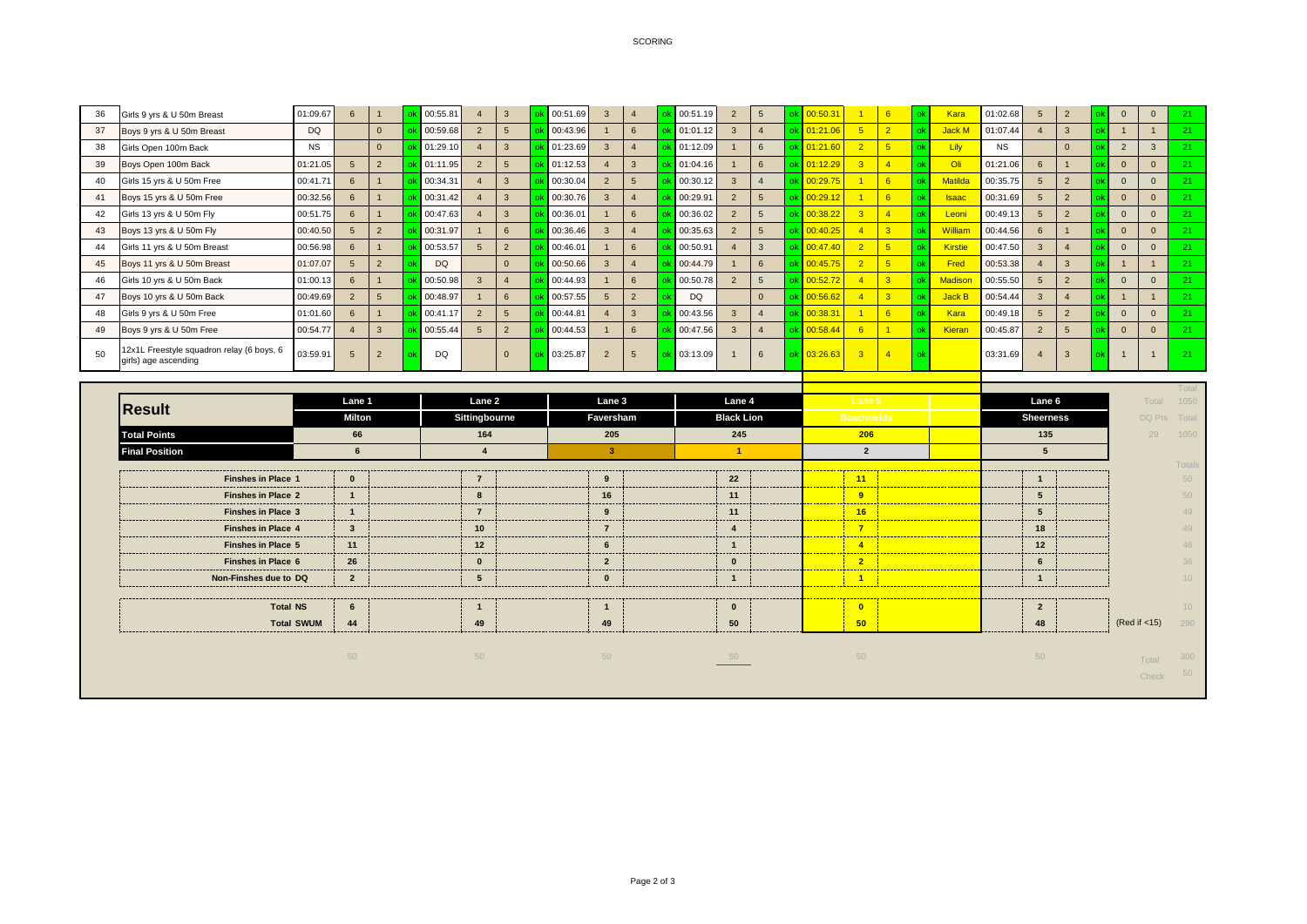## SCORING

| 36 | Girls 9 yrs & U 50m Breast                                        | 01:09.67  | 6               |          | 00:55.81  |                | 3              | 00:51.69 |                  | ok 00:51.19 |                |   | 00:50.31    |    | Kara           | 01:02.68  |   | $\overline{2}$ |                | $\Omega$     |    |
|----|-------------------------------------------------------------------|-----------|-----------------|----------|-----------|----------------|----------------|----------|------------------|-------------|----------------|---|-------------|----|----------------|-----------|---|----------------|----------------|--------------|----|
| 37 | Boys 9 yrs & U 50m Breast                                         | <b>DQ</b> |                 | $\Omega$ | 00:59.68  |                |                | 00:43.96 | 6                | 01:01.12    | $\overline{3}$ |   | 01:21.06    |    | <b>Jack M</b>  | 01:07.44  |   | $\overline{3}$ |                |              | 21 |
| 38 | Girls Open 100m Back                                              | <b>NS</b> |                 | $\Omega$ | 01:29.10  |                | 3              | 01:23.69 |                  | 01:12.09    |                | 6 | 01:21.60    |    | Lily           | <b>NS</b> |   | $\mathbf{0}$   | 2              | $\mathbf{3}$ |    |
| 39 | Boys Open 100m Back                                               | 01:21.05  | 5 <sup>5</sup>  |          | 01:11.95  |                |                | 01:12.53 | $\mathbf{3}$     | 01:04.16    |                |   | 1:12.29     |    | Oli            | 01:21.06  |   |                | $\Omega$       | $\mathbf{0}$ |    |
| 40 | Girls 15 yrs & U 50m Free                                         | 00:41.71  | 6               |          | 00:34.31  |                | 3              | 00:30.04 | 5                | 00:30.12    | $\mathbf{3}$   |   | 00:29.75    | 6  | <b>Matilda</b> | 00:35.75  |   | $\overline{2}$ |                | $\mathbf{0}$ |    |
| 41 | Boys 15 yrs & U 50m Free                                          | 00:32.56  | 6               |          | 00:31.42  |                | 3              | 00:30.76 |                  | 00:29.91    | $\overline{2}$ |   | 00:29.12    | -6 | <b>Isaac</b>   | 00:31.69  |   | $\overline{2}$ | $\overline{0}$ | $\mathbf{0}$ |    |
| 42 | Girls 13 yrs & U 50m Fly                                          | 00:51.75  | 6               |          | 00:47.63  |                | 3              | 00:36.01 | $6 \overline{6}$ | 00:36.02    | $\overline{2}$ |   | 0:38.22     |    | Leoni          | 00:49.13  |   | $\overline{2}$ | $\Omega$       | $\mathbf{0}$ | 21 |
| 43 | Boys 13 yrs & U 50m Fly                                           | 00:40.50  |                 |          | 00:31.97  |                | 6              | 00:36.46 |                  | 00:35.63    | $\overline{2}$ |   | 00:40.25    |    | William        | 00:44.56  |   |                |                | $\mathbf{0}$ |    |
| 44 | Girls 11 yrs & U 50m Breast                                       | 00:56.98  | 6               |          | 00:53.57  | 5              | $\overline{2}$ | 00:46.01 | $6 \overline{6}$ | 00:50.91    |                |   | 00:47.40    | -5 | Kirstie        | 00:47.50  |   |                | $\overline{0}$ | $\mathbf{0}$ |    |
| 45 | Boys 11 yrs & U 50m Breast                                        | 01:07.07  | $5\overline{5}$ |          | <b>DQ</b> |                | $\Omega$       | 00:50.66 |                  | 00:44.79    |                |   | 00:45.75    |    | Fred           | 00:53.38  |   | $\mathbf{3}$   |                |              |    |
| 46 | Girls 10 yrs & U 50m Back                                         | 01:00.13  | 6               |          | 00:50.98  |                |                | 00:44.93 | 6                | 00:50.78    |                |   | 00:52.72    |    | <b>Madison</b> | 00:55.50  |   | $\overline{2}$ | $\overline{0}$ | $\mathbf{0}$ |    |
| 47 | Boys 10 yrs & U 50m Back                                          | 00:49.69  | $\overline{2}$  |          | 00:48.97  |                | 6              | 00:57.55 | $\overline{2}$   | DQ          |                |   | 00:56.62    |    | <b>Jack B</b>  | 00:54.44  | 3 |                |                |              | 21 |
| 48 | Girls 9 yrs & U 50m Free                                          | 01:01.60  | 6               |          | 00:41.17  | $\overline{2}$ | $5^{\circ}$    | 00:44.81 | 3                | 00:43.56    | $\mathbf{3}$   |   | 00:38.31    | 6  | Kara           | 00:49.18  |   | $\overline{2}$ | $\Omega$       | $\mathbf{0}$ |    |
| 49 | Boys 9 yrs & U 50m Free                                           | 00:54.77  |                 |          | 00:55.44  | 5              | $\overline{2}$ | 00:44.53 | 6                | 00:47.56    | $\mathbf{3}$   |   | 00:58.44    |    | Kieran         | 00:45.87  |   | 5              | $\overline{0}$ | $\mathbf{0}$ |    |
| 50 | 12x1L Freestyle squadron relay (6 boys, 6<br>girls) age ascending | 03:59.91  |                 |          | DQ        |                |                | 03:25.87 |                  | ok 03:13.09 |                |   | ok 03:26.63 |    |                | 03:31.69  |   |                |                |              | 21 |

|                           |                |  |                 |  |                     |  |                   |  |                    |          |  |                  |                         |                      |                 | Total           |    |      |
|---------------------------|----------------|--|-----------------|--|---------------------|--|-------------------|--|--------------------|----------|--|------------------|-------------------------|----------------------|-----------------|-----------------|----|------|
| Result                    | Lane 1         |  | Lane 2          |  | Lane 3              |  | Lane 4            |  |                    | Lane 5   |  |                  | Lane 6                  |                      | Total           | 1050            |    |      |
|                           | Milton         |  | Sittingbourne   |  | Faversham           |  | <b>Black Lion</b> |  | <b>Beachfields</b> |          |  | <b>Sheerness</b> |                         |                      |                 | DQ Pts Total    |    |      |
| <b>Total Points</b>       | 66             |  | 164             |  | 205                 |  | 245               |  | 206                |          |  |                  |                         | 135                  |                 |                 | 29 | 1050 |
| <b>Final Position</b>     |                |  |                 |  |                     |  |                   |  | $\overline{2}$     |          |  |                  | 5                       |                      |                 |                 |    |      |
|                           |                |  |                 |  |                     |  |                   |  |                    |          |  |                  |                         | ____________________ |                 | Totals          |    |      |
| Finshes in Place 1        | $\mathbf{0}$   |  |                 |  | 9                   |  | 22                |  |                    | 11       |  |                  |                         |                      |                 | 50              |    |      |
| <b>Finshes in Place 2</b> |                |  |                 |  | 16                  |  | 11                |  |                    | $\Omega$ |  |                  |                         |                      |                 | 50              |    |      |
| <b>Finshes in Place 3</b> |                |  |                 |  | -9                  |  | 11                |  |                    | 16       |  |                  |                         |                      |                 | 49              |    |      |
| <b>Finshes in Place 4</b> | $\mathbf{3}$   |  | 10 <sup>°</sup> |  |                     |  |                   |  |                    |          |  |                  | 18                      |                      |                 | 49              |    |      |
| <b>Finshes in Place 5</b> | 11             |  | 12              |  | 6                   |  |                   |  |                    |          |  |                  | 12                      |                      |                 | 46              |    |      |
| Finshes in Place 6        | 26             |  | $\mathbf{0}$    |  | $\overline{2}$      |  | $\bf{0}$          |  |                    | $\sim$   |  |                  | 'n                      |                      |                 | 36              |    |      |
| Non-Finshes due to DQ     | $\overline{2}$ |  | 5               |  | $\bf{0}$            |  |                   |  |                    |          |  |                  |                         |                      |                 | 10              |    |      |
|                           |                |  | -------         |  | ------<br>--------- |  |                   |  |                    |          |  |                  |                         |                      |                 |                 |    |      |
| <b>Total NS</b>           | 6              |  |                 |  |                     |  | $\mathbf{a}$      |  |                    |          |  |                  | $\overline{\mathbf{2}}$ |                      |                 | 10 <sup>1</sup> |    |      |
| <b>Total SWUM</b>         | 44             |  | 49              |  | 49                  |  | 50                |  |                    | 50       |  |                  | 48                      |                      | (Red if $<$ 15) | 290             |    |      |
|                           |                |  |                 |  |                     |  |                   |  |                    |          |  |                  |                         |                      |                 |                 |    |      |
|                           | 50             |  | 50 <sup>°</sup> |  | 50                  |  | 50                |  |                    | 50       |  |                  | $50^{\circ}$            |                      | Total           | 300             |    |      |
|                           |                |  |                 |  |                     |  |                   |  |                    |          |  |                  |                         |                      | Check           | 50              |    |      |
|                           |                |  |                 |  |                     |  |                   |  |                    |          |  |                  |                         |                      |                 |                 |    |      |
|                           |                |  |                 |  |                     |  |                   |  |                    |          |  |                  |                         |                      |                 |                 |    |      |